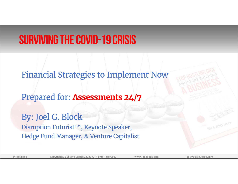#### Surviving the Covid-19 Crisis

Financial Strategies to Implement Now

Prepared for: **Assessments 24/7**

By: Joel G. Block Disruption Futurist™, Keynote Speaker, Hedge Fund Manager, & Venture Capitalist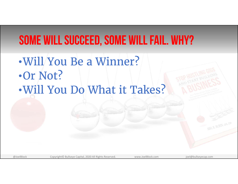#### Some Will Succeed, Some Will Fail. Why?

•Will You Be a Winner?•Or Not? •Will You Do What it Takes?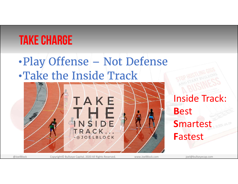## Take Charge

#### •Play Offense – Not Defense •Take the Inside Track



#### Inside Track: **B**est **S**martest **F**astest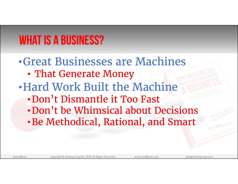## WHAT IS A BUSINESS?

•Great Businesses are Machines• That Generate Money •Hard Work Built the Machine•Don't Dismantle it Too Fast•Don't be Whimsical about Decisions•Be Methodical, Rational, and Smart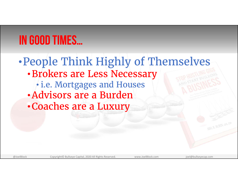### In Good Times…

#### •People Think Highly of Themselves •Brokers are Less Necessary • i.e. Mortgages and Houses •Advisors are a Burden•Coaches are a Luxury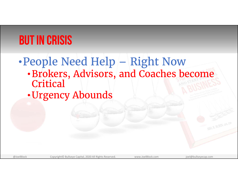### But in Crisis

#### •People Need Help – Right Now •Brokers, Advisors, and Coaches become

- **Critical**
- •Urgency Abounds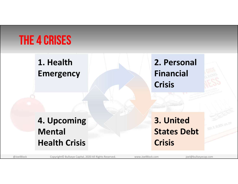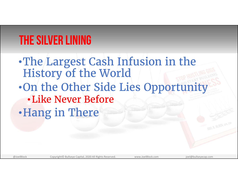## The Silver Lining

•The Largest Cash Infusion in the History of the World •On the Other Side Lies Opportunity •Like Never Before•Hang in There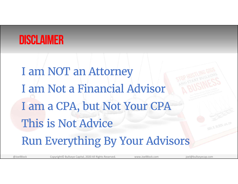#### Disclaimer

I am NOT an Attorney I am Not a Financial Advisor I am a CPA, but Not Your CPA This is Not AdviceRun Everything By Your Advisors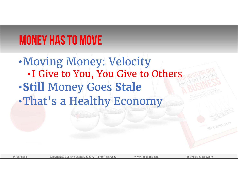## Money Has to Move

•Moving Money: Velocity • I Give to You, You Give to Others •**Still** Money Goes **Stale** •That's a Healthy Economy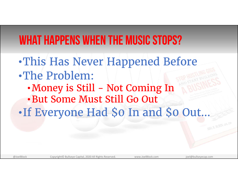#### What Happens When the Music Stops?

•This Has Never Happened Before •The Problem: • Money is Still - Not Coming In •But Some Must Still Go Out •If Everyone Had \$0 In and \$0 Out…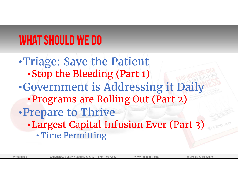## What Should We Do

•Triage: Save the Patient •Stop the Bleeding (Part 1) •Government is Addressing it Daily •Programs are Rolling Out (Part 2) •Prepare to Thrive •Largest Capital Infusion Ever (Part 3) •Time Permitting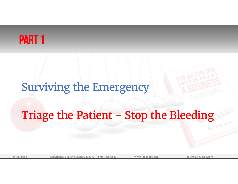#### PART<sub>1</sub>

#### Surviving the Emergency

# Triage the Patient - Stop the Bleeding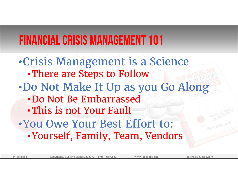## Financial Crisis Management 101

•Crisis Management is a Science •There are Steps to Follow •Do Not Make It Up as you Go Along •Do Not Be Embarrassed•This is not Your Fault•You Owe Your Best Effort to: •Yourself, Family, Team, Vendors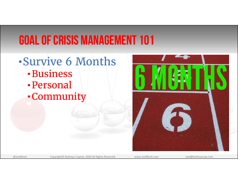## Goal of Crisis Management 101

•Survive 6 Months•Business•Personal•Community

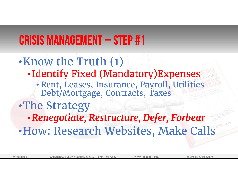•Know the Truth (1) • Identify Fixed (Mandatory)Expenses • Rent, Leases, Insurance, Payroll, Utilities Debt/Mortgage, Contracts, Taxes •The Strategy •*Renegotiate, Restructure, Defer, Forbear* •How: Research Websites, Make Calls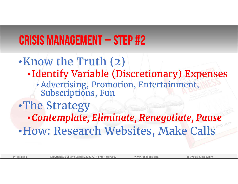•Know the Truth (2) • Identify Variable (Discretionary) Expenses • Advertising, Promotion, Entertainment, Subscriptions, Fun •The Strategy •*Contemplate, Eliminate, Renegotiate, Pause*  •How: Research Websites, Make Calls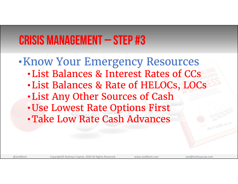#### •Know Your Emergency Resources •List Balances & Interest Rates of CCs•List Balances & Rate of HELOCs, LOCs •List Any Other Sources of Cash •Use Lowest Rate Options First •Take Low Rate Cash Advances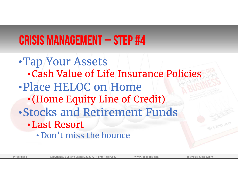•Tap Your Assets •Cash Value of Life Insurance Policies•Place HELOC on Home• (Home Equity Line of Credit) •Stocks and Retirement Funds•Last Resort• Don't miss the bounce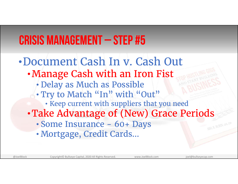•Document Cash In v. Cash Out•Manage Cash with an Iron Fist • Delay as Much as Possible •• Try to Match "In" with "Out" • Keep current with suppliers that you need •Take Advantage of (New) Grace Periods • Some Insurance - 60+ Days •Mortgage, Credit Cards…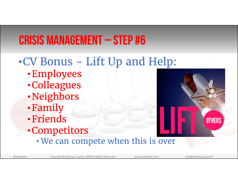#### •CV Bonus - Lift Up and Help:

- •Employees
- •Colleagues
- •Neighbors
- •Family
- •Friends
- •Competitors
	- •We can compete when this is over



@JoelBlock Copyright© Bullseye Capital, 2020 All Rights Reserved. www.JoelBlock.com joel@bullseyecap.com

**OTHERS**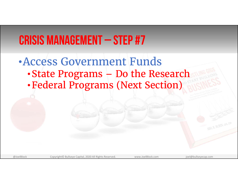#### •Access Government Funds

- •State Programs Do the Research
- •Federal Programs (Next Section)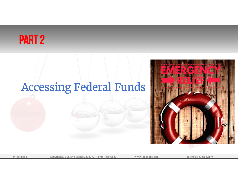#### Part 2

#### Accessing Federal Funds

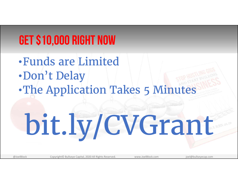## GET \$10,000 RIGHT NOW

•Funds are Limited•Don't Delay •The Application Takes 5 Minutes bit.ly/CVGrant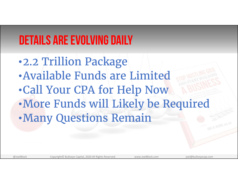## Details are Evolving Daily

•2.2 Trillion Package •Available Funds are Limited•Call Your CPA for Help Now •More Funds will Likely be Required •Many Questions Remain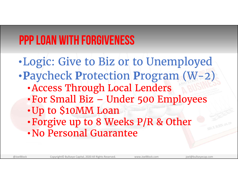## PPP Loan with Forgiveness

•Logic: Give to Biz or to Unemployed •**P**aycheck **P**rotection **P**rogram (W-2) •Access Through Local Lenders •For Small Biz – Under 500 Employees •Up to \$10MM Loan •Forgive up to 8 Weeks P/R & Other • No Personal Guarantee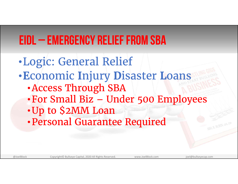## EIDL – Emergency Relief from SBA

•Logic: General Relief •**E**conomic **I**njury **D**isaster **L**oans •Access Through SBA •For Small Biz – Under 500 Employees •Up to \$2MM Loan •Personal Guarantee Required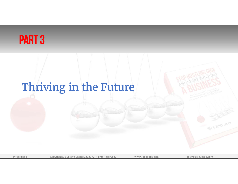#### Part 3

## Thriving in the Future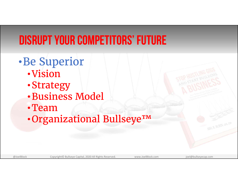## Disrupt Your Competitors' Future

- •Be Superior
	- •Vision
	- •Strategy
	- •Business Model
	- •Team
	- •Organizational Bullseye™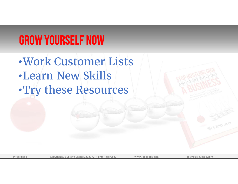## Grow Yourself Now

•Work Customer Lists•Learn New Skills•Try these Resources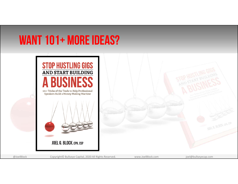#### WANT 101+ MORE IDEAS?

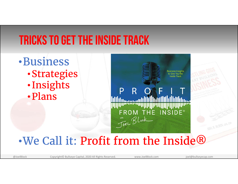#### Tricks to Get the Inside Track

•Business •Strategies • Insights •Plans

**Business Insights** R FROM THE INSIDE® Tree Block

#### •We Call it: Profit from the Inside®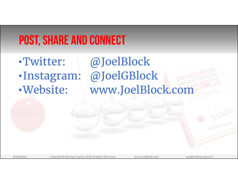### Post, Share and Connect

•Twitter: @JoelBlock •Instagram: @JoelGBlock •Website: www.JoelBlock.com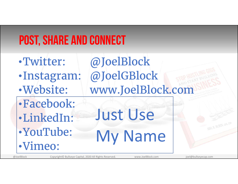## Post, Share and Connect

•Twitter: @JoelBlock •Instagram: @JoelGBlock •Website: www.JoelBlock.com •Facebook: •LinkedIn: •YouTube: •Vimeo: Just Use My Name